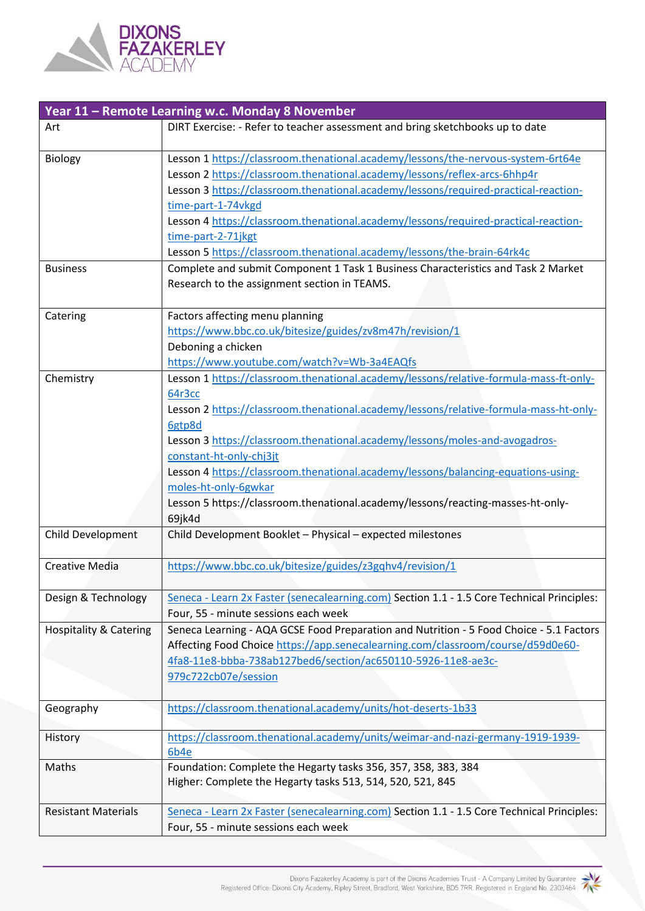

|                                   | Year 11 - Remote Learning w.c. Monday 8 November                                           |
|-----------------------------------|--------------------------------------------------------------------------------------------|
| Art                               | DIRT Exercise: - Refer to teacher assessment and bring sketchbooks up to date              |
| Biology                           | Lesson 1 https://classroom.thenational.academy/lessons/the-nervous-system-6rt64e           |
|                                   | Lesson 2 https://classroom.thenational.academy/lessons/reflex-arcs-6hhp4r                  |
|                                   | Lesson 3 https://classroom.thenational.academy/lessons/required-practical-reaction-        |
|                                   | time-part-1-74vkgd                                                                         |
|                                   | Lesson 4 https://classroom.thenational.academy/lessons/required-practical-reaction-        |
|                                   | time-part-2-71jkgt                                                                         |
|                                   | Lesson 5 https://classroom.thenational.academy/lessons/the-brain-64rk4c                    |
| <b>Business</b>                   | Complete and submit Component 1 Task 1 Business Characteristics and Task 2 Market          |
|                                   | Research to the assignment section in TEAMS.                                               |
| Catering                          | Factors affecting menu planning                                                            |
|                                   | https://www.bbc.co.uk/bitesize/guides/zv8m47h/revision/1                                   |
|                                   | Deboning a chicken                                                                         |
|                                   | https://www.youtube.com/watch?v=Wb-3a4EAQfs                                                |
| Chemistry                         | Lesson 1 https://classroom.thenational.academy/lessons/relative-formula-mass-ft-only-      |
|                                   | 64r3cc                                                                                     |
|                                   | Lesson 2 https://classroom.thenational.academy/lessons/relative-formula-mass-ht-only-      |
|                                   | 6gtp8d                                                                                     |
|                                   | Lesson 3 https://classroom.thenational.academy/lessons/moles-and-avogadros-                |
|                                   | constant-ht-only-chj3jt                                                                    |
|                                   | Lesson 4 https://classroom.thenational.academy/lessons/balancing-equations-using-          |
|                                   | moles-ht-only-6gwkar                                                                       |
|                                   | Lesson 5 https://classroom.thenational.academy/lessons/reacting-masses-ht-only-            |
|                                   | 69jk4d                                                                                     |
| Child Development                 | Child Development Booklet - Physical - expected milestones                                 |
| <b>Creative Media</b>             | https://www.bbc.co.uk/bitesize/guides/z3gqhv4/revision/1                                   |
| Design & Technology               | Seneca - Learn 2x Faster (senecalearning.com) Section 1.1 - 1.5 Core Technical Principles: |
|                                   | Four, 55 - minute sessions each week                                                       |
| <b>Hospitality &amp; Catering</b> | Seneca Learning - AQA GCSE Food Preparation and Nutrition - 5 Food Choice - 5.1 Factors    |
|                                   | Affecting Food Choice https://app.senecalearning.com/classroom/course/d59d0e60-            |
|                                   | 4fa8-11e8-bbba-738ab127bed6/section/ac650110-5926-11e8-ae3c-                               |
|                                   | 979c722cb07e/session                                                                       |
|                                   |                                                                                            |
| Geography                         | https://classroom.thenational.academy/units/hot-deserts-1b33                               |
|                                   |                                                                                            |
| History                           | https://classroom.thenational.academy/units/weimar-and-nazi-germany-1919-1939-             |
|                                   | 6b4e                                                                                       |
| Maths                             | Foundation: Complete the Hegarty tasks 356, 357, 358, 383, 384                             |
|                                   | Higher: Complete the Hegarty tasks 513, 514, 520, 521, 845                                 |
| <b>Resistant Materials</b>        | Seneca - Learn 2x Faster (senecalearning.com) Section 1.1 - 1.5 Core Technical Principles: |
|                                   |                                                                                            |
|                                   | Four, 55 - minute sessions each week                                                       |